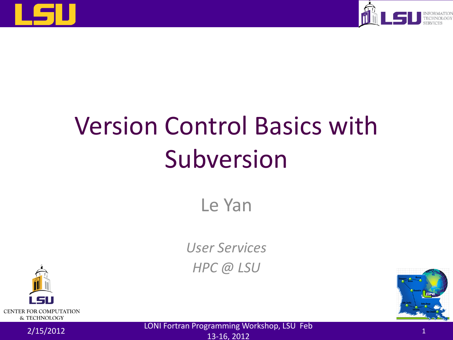



# Version Control Basics with Subversion

Le Yan

*User Services HPC @ LSU*



2/15/2012 LONI Fortran Programming Workshop, LSU Feb 13-16, 2012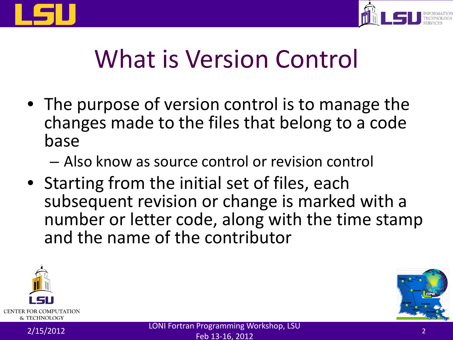



#### What is Version Control

- The purpose of version control is to manage the changes made to the files that belong to a code base
	- Also know as source control or revision control
- Starting from the initial set of files, each subsequent revision or change is marked with a number or letter code, along with the time stamp and the name of the contributor



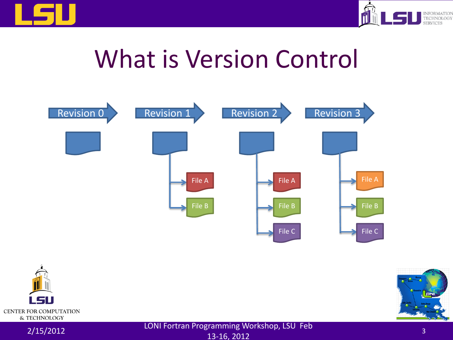



#### What is Version Control



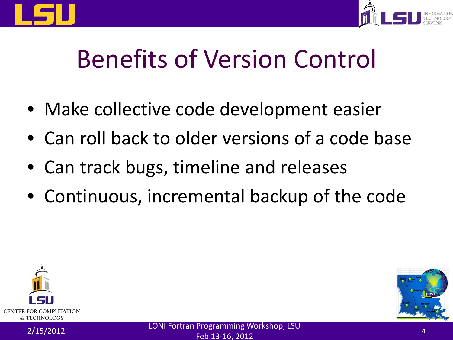



### Benefits of Version Control

- Make collective code development easier
- Can roll back to older versions of a code base
- Can track bugs, timeline and releases
- Continuous, incremental backup of the code



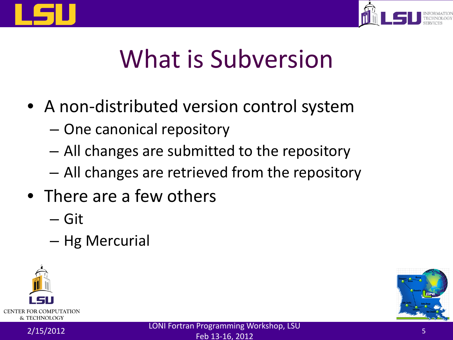



#### What is Subversion

- A non-distributed version control system
	- One canonical repository
	- All changes are submitted to the repository
	- All changes are retrieved from the repository
- There are a few others
	- Git
	- Hg Mercurial



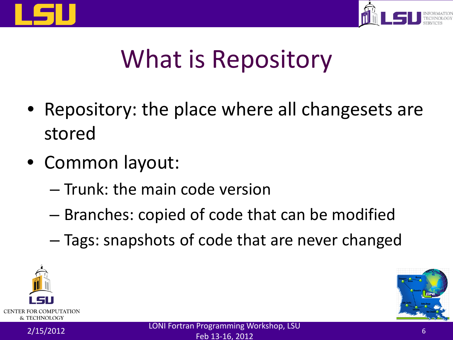



# What is Repository

- Repository: the place where all changesets are stored
- Common layout:
	- Trunk: the main code version
	- Branches: copied of code that can be modified
	- Tags: snapshots of code that are never changed



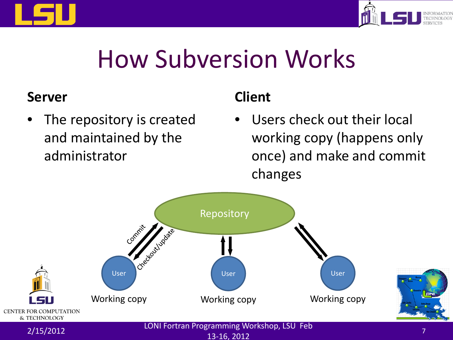



#### How Subversion Works

#### **Server**

The repository is created and maintained by the administrator

#### **Client**

Users check out their local working copy (happens only once) and make and commit changes

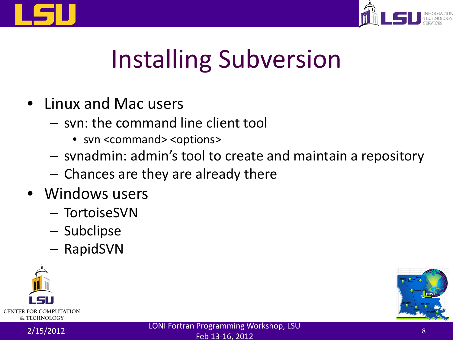



# Installing Subversion

- Linux and Mac users
	- svn: the command line client tool
		- svn <command> <options>
	- svnadmin: admin's tool to create and maintain a repository
	- Chances are they are already there
- Windows users
	- TortoiseSVN
	- Subclipse
	- RapidSVN



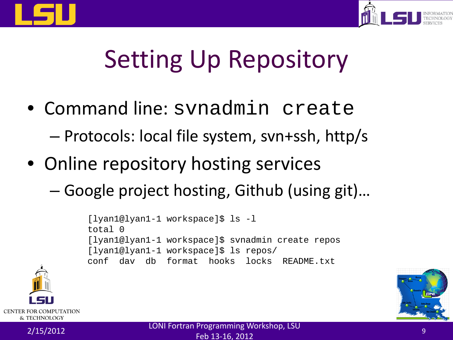



# Setting Up Repository

- Command line: svnadmin create – Protocols: local file system, svn+ssh, http/s
- Online repository hosting services
	- Google project hosting, Github (using git)…

```
[lyan1@lyan1-1 workspace]$ ls -l
total 0
[lyan1@lyan1-1 workspace]$ svnadmin create repos
[lyan1@lyan1-1 workspace]$ ls repos/
conf dav db format hooks locks README.txt
```


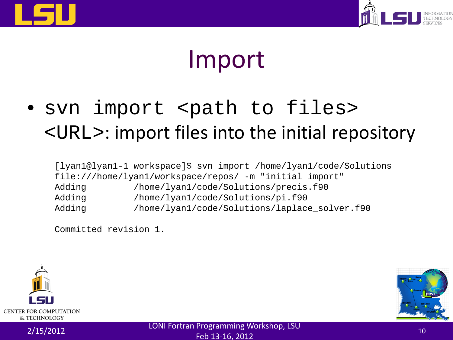



#### Import

• svn import <path to files> <URL>: import files into the initial repository

[lyan1@lyan1-1 workspace]\$ svn import /home/lyan1/code/Solutions file:///home/lyan1/workspace/repos/ -m "initial import" Adding /home/lyan1/code/Solutions/precis.f90 Adding /home/lyan1/code/Solutions/pi.f90 Adding /home/lyan1/code/Solutions/laplace solver.f90

Committed revision 1.



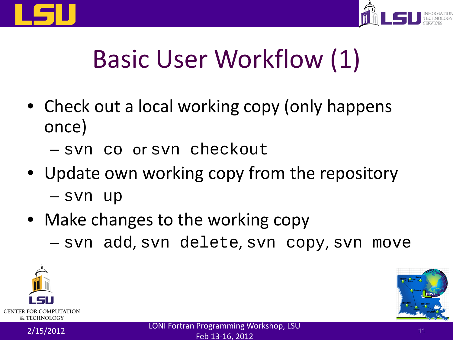



### Basic User Workflow (1)

- Check out a local working copy (only happens once)
	- svn co or svn checkout
- Update own working copy from the repository
	- svn up
- Make changes to the working copy
	- svn add, svn delete, svn copy, svn move



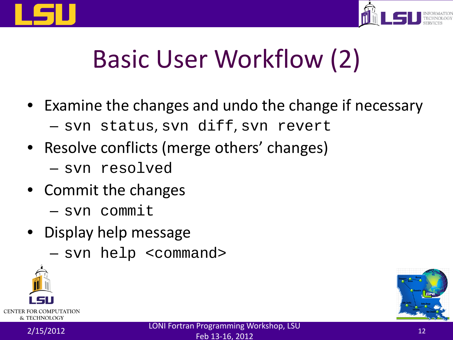



#### Basic User Workflow (2)

- Examine the changes and undo the change if necessary
	- svn status, svn diff, svn revert
- Resolve conflicts (merge others' changes)
	- svn resolved
- Commit the changes
	- svn commit
- Display help message
	- svn help <command>



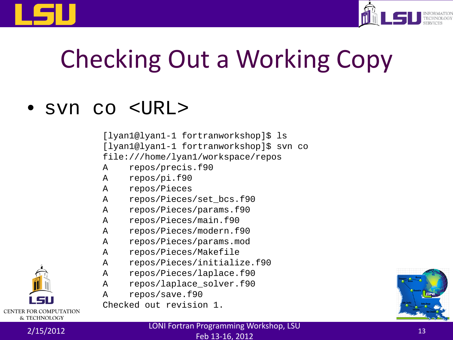



# Checking Out a Working Copy

#### • svn co <URL>

[lyan1@lyan1-1 fortranworkshop]\$ ls [lyan1@lyan1-1 fortranworkshop]\$ svn co file:///home/lyan1/workspace/repos A repos/precis.f90 A repos/pi.f90 A repos/Pieces A repos/Pieces/set\_bcs.f90 A repos/Pieces/params.f90 A repos/Pieces/main.f90 A repos/Pieces/modern.f90 A repos/Pieces/params.mod A repos/Pieces/Makefile A repos/Pieces/initialize.f90 A repos/Pieces/laplace.f90 A repos/laplace\_solver.f90

A repos/save.f90

Checked out revision 1.

**CENTER FOR COMPUTATION** & TECHNOLOGY

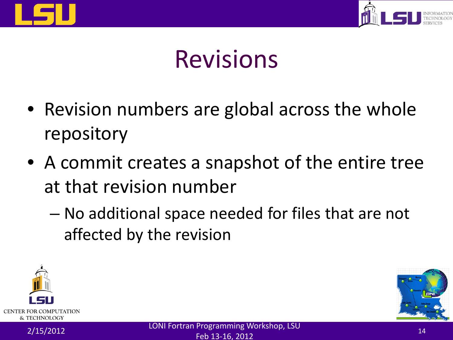



#### Revisions

- Revision numbers are global across the whole repository
- A commit creates a snapshot of the entire tree at that revision number
	- No additional space needed for files that are not affected by the revision



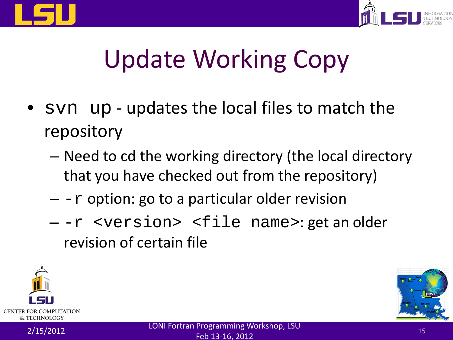



# Update Working Copy

- syn up updates the local files to match the repository
	- Need to cd the working directory (the local directory that you have checked out from the repository)
	- $r$  option: go to a particular older revision
	- -r <version> <file name>: get an older revision of certain file

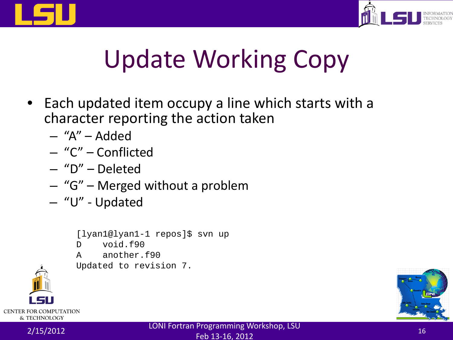



# Update Working Copy

- Each updated item occupy a line which starts with a character reporting the action taken
	- "A" Added
	- "C" Conflicted
	- "D" Deleted
	- "G" Merged without a problem
	- "U" Updated
		- [lyan1@lyan1-1 repos]\$ svn up
		- D void.f90
		- A another.f90

Updated to revision 7.



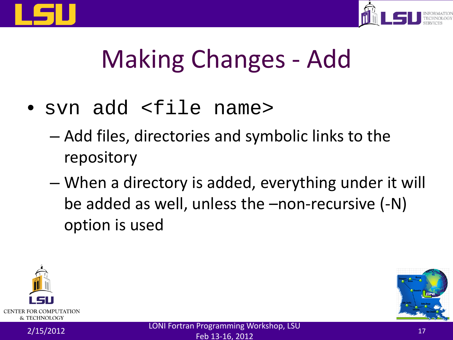



# Making Changes - Add

- svn add <file name>
	- Add files, directories and symbolic links to the repository
	- When a directory is added, everything under it will be added as well, unless the –non-recursive (-N) option is used



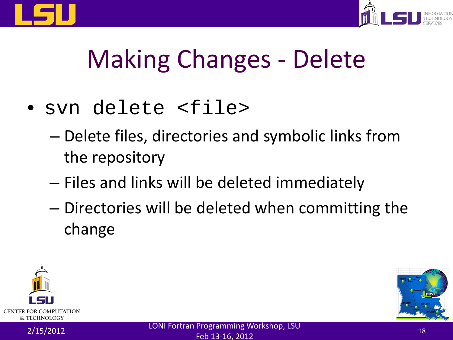



# Making Changes - Delete

- svn delete <file>
	- Delete files, directories and symbolic links from the repository
	- Files and links will be deleted immediately
	- Directories will be deleted when committing the change



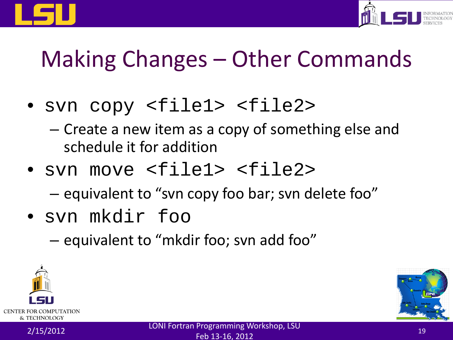



#### Making Changes – Other Commands

- svn copy <file1> <file2>
	- Create a new item as a copy of something else and schedule it for addition
- svn move <file1> <file2>

– equivalent to "svn copy foo bar; svn delete foo"

- svn mkdir foo
	- equivalent to "mkdir foo; svn add foo"



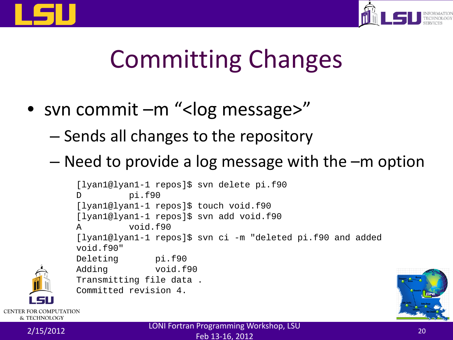



# Committing Changes

- svn commit –m "<log message>"
	- Sends all changes to the repository
	- Need to provide a log message with the –m option

```
[lyan1@lyan1-1 repos]$ svn delete pi.f90
D pi.f90
[lyan1@lyan1-1 repos]$ touch void.f90
[lyan1@lyan1-1 repos]$ svn add void.f90
A void.f90
[lyan1@lyan1-1 repos]$ svn ci -m "deleted pi.f90 and added 
void.f90"<br>Deleting
           pi.f90
Adding void.f90
Transmitting file data .
Committed revision 4.
```


**CENTER FOR COMPUTATION**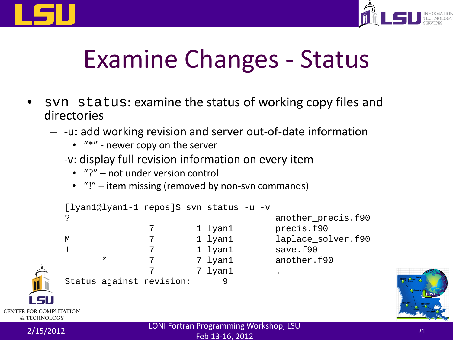



#### Examine Changes - Status

- syn status: examine the status of working copy files and directories
	- -u: add working revision and server out-of-date information
		- "\*" newer copy on the server
	- -v: display full revision information on every item
		- "?" not under version control
		- "!" item missing (removed by non-svn commands)

```
[lyan1@lyan1-1 repos]$ svn status -u -v
        ? another_precis.f90
                   7 1 lyan1 precis.f90
        M 7 1 lyan1 laplace_solver.f90
                   ! 7 1 lyan1 save.f90
              * 7 7 lyan1 another.f90
                         7 lyan1
        Status against revision: 9
CENTER FOR COMPUTATION
  & TECHNOLOGY
```
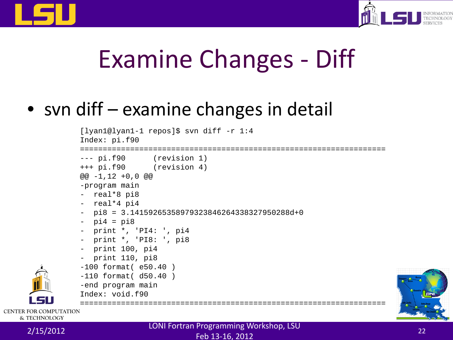



#### Examine Changes - Diff

#### • svn diff – examine changes in detail

```
[lyan1@lyan1-1 repos]$ svn diff -r 1:4
               Index: pi.f90
               ===================================================================
               --- pi.f90 (revision 1)
               +++ pi.f90 (revision 4)
               @@ -1,12 +0,0 @@
               -program main
               - real*8 pi8
               - real*4 pi4
               - pi8 = 3.14159265358979323846264338327950288d+0
               -pi4 = pi8- print *, 'PI4: ', pi4
               - print *, 'PI8: ', pi8
               - print 100, pi4
               - print 110, pi8
               -100 format( e50.40 )
               -110 format( d50.40 )
               -end program main
               Index: void.f90
EFTER FOR COMPUTATION
```




& TECHNOLOGY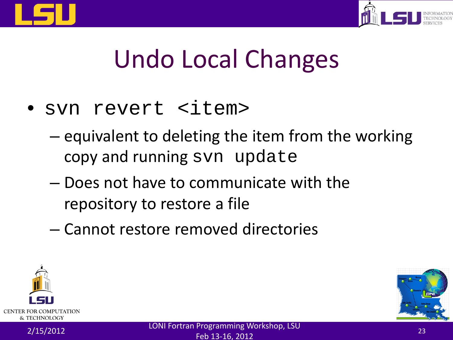



# Undo Local Changes

- svn revert <item>
	- equivalent to deleting the item from the working copy and running svn update
	- Does not have to communicate with the repository to restore a file
	- Cannot restore removed directories



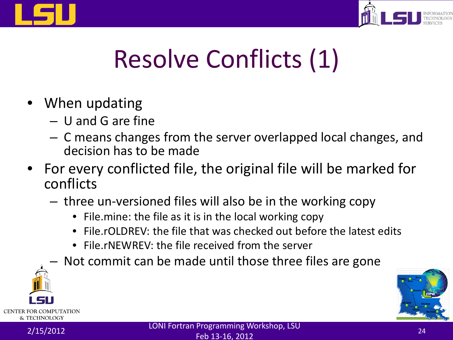



# Resolve Conflicts (1)

- When updating
	- U and G are fine
	- C means changes from the server overlapped local changes, and decision has to be made
- For every conflicted file, the original file will be marked for conflicts
	- three un-versioned files will also be in the working copy
		- File.mine: the file as it is in the local working copy
		- File rOLDREV: the file that was checked out before the latest edits
		- File.rNEWREV: the file received from the server
		- Not commit can be made until those three files are gone



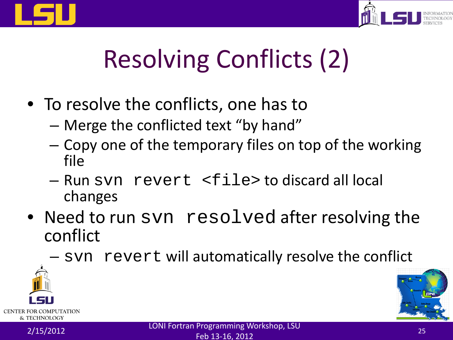



# Resolving Conflicts (2)

- To resolve the conflicts, one has to
	- Merge the conflicted text "by hand"
	- Copy one of the temporary files on top of the working file
	- Run svn revert <file> to discard all local changes
- Need to run svn resolved after resolving the conflict
	- svn revert will automatically resolve the conflict



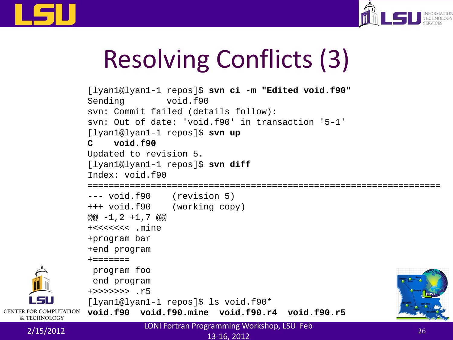



# Resolving Conflicts (3)

```
[lyan1@lyan1-1 repos]$ svn ci -m "Edited void.f90"
                Sending void.f90
                svn: Commit failed (details follow):
                svn: Out of date: 'void.f90' in transaction '5-1'
                [lyan1@lyan1-1 repos]$ svn up
                C void.f90
                Updated to revision 5.
                [lyan1@lyan1-1 repos]$ svn diff
                Index: void.f90
                ===================================================================
                --- void.f90 (revision 5)
                +++ void.f90 (working copy)
                @@ -1.2 +1.7 @@+<<<<<<< .mine
                +program bar
                +end program
                + = = = = = = =program foo
                 end program
                +>>>>>>> .r5
                [lyan1@lyan1-1 repos]$ ls void.f90*
CENTER FOR COMPUTATION
                void.f90 void.f90.mine void.f90.r4 void.f90.r5
```
& TECHNOLOGY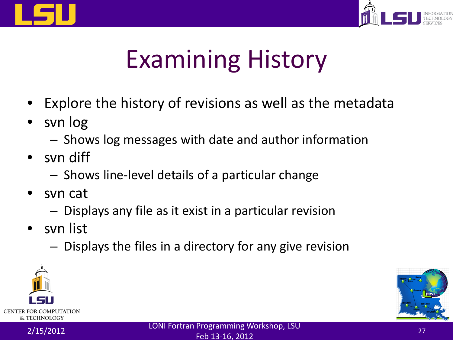



# Examining History

- Explore the history of revisions as well as the metadata
- svn log
	- Shows log messages with date and author information
- svn diff
	- Shows line-level details of a particular change
- svn cat
	- Displays any file as it exist in a particular revision
- svn list
	- Displays the files in a directory for any give revision



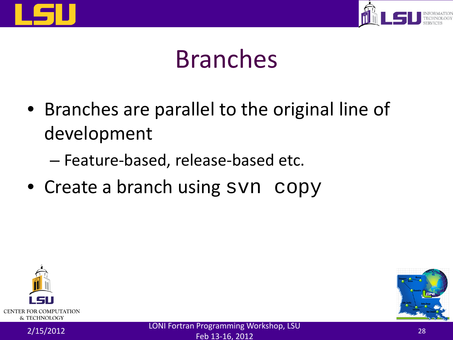



#### Branches

- Branches are parallel to the original line of development
	- Feature-based, release-based etc.
- Create a branch using syn copy



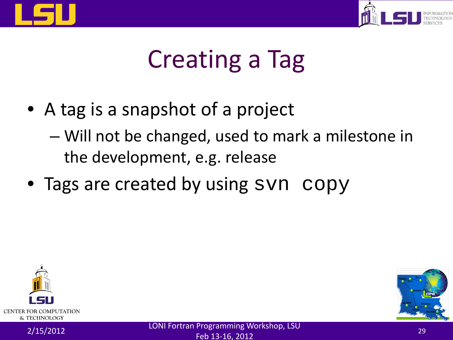



# Creating a Tag

- A tag is a snapshot of a project
	- Will not be changed, used to mark a milestone in the development, e.g. release
- Tags are created by using syn copy